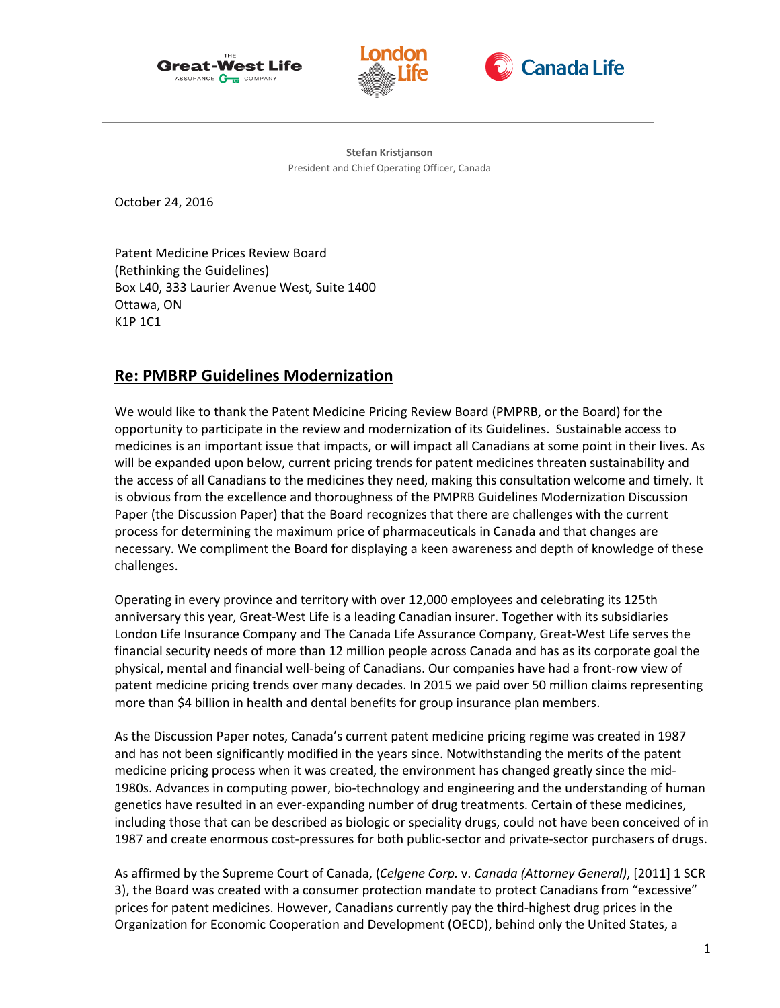





**Stefan Kristjanson** President and Chief Operating Officer, Canada

October 24, 2016

Patent Medicine Prices Review Board (Rethinking the Guidelines) Box L40, 333 Laurier Avenue West, Suite 1400 Ottawa, ON K1P 1C1

# **Re: PMBRP Guidelines Modernization**

We would like to thank the Patent Medicine Pricing Review Board (PMPRB, or the Board) for the opportunity to participate in the review and modernization of its Guidelines. Sustainable access to medicines is an important issue that impacts, or will impact all Canadians at some point in their lives. As will be expanded upon below, current pricing trends for patent medicines threaten sustainability and the access of all Canadians to the medicines they need, making this consultation welcome and timely. It is obvious from the excellence and thoroughness of the PMPRB Guidelines Modernization Discussion Paper (the Discussion Paper) that the Board recognizes that there are challenges with the current process for determining the maximum price of pharmaceuticals in Canada and that changes are necessary. We compliment the Board for displaying a keen awareness and depth of knowledge of these challenges.

Operating in every province and territory with over 12,000 employees and celebrating its 125th anniversary this year, Great-West Life is a leading Canadian insurer. Together with its subsidiaries London Life Insurance Company and The Canada Life Assurance Company, Great-West Life serves the financial security needs of more than 12 million people across Canada and has as its corporate goal the physical, mental and financial well-being of Canadians. Our companies have had a front-row view of patent medicine pricing trends over many decades. In 2015 we paid over 50 million claims representing more than \$4 billion in health and dental benefits for group insurance plan members.

As the Discussion Paper notes, Canada's current patent medicine pricing regime was created in 1987 and has not been significantly modified in the years since. Notwithstanding the merits of the patent medicine pricing process when it was created, the environment has changed greatly since the mid-1980s. Advances in computing power, bio-technology and engineering and the understanding of human genetics have resulted in an ever-expanding number of drug treatments. Certain of these medicines, including those that can be described as biologic or speciality drugs, could not have been conceived of in 1987 and create enormous cost-pressures for both public-sector and private-sector purchasers of drugs.

As affirmed by the Supreme Court of Canada, (*Celgene Corp.* v. *Canada (Attorney General)*, [2011] 1 SCR 3), the Board was created with a consumer protection mandate to protect Canadians from "excessive" prices for patent medicines. However, Canadians currently pay the third-highest drug prices in the Organization for Economic Cooperation and Development (OECD), behind only the United States, a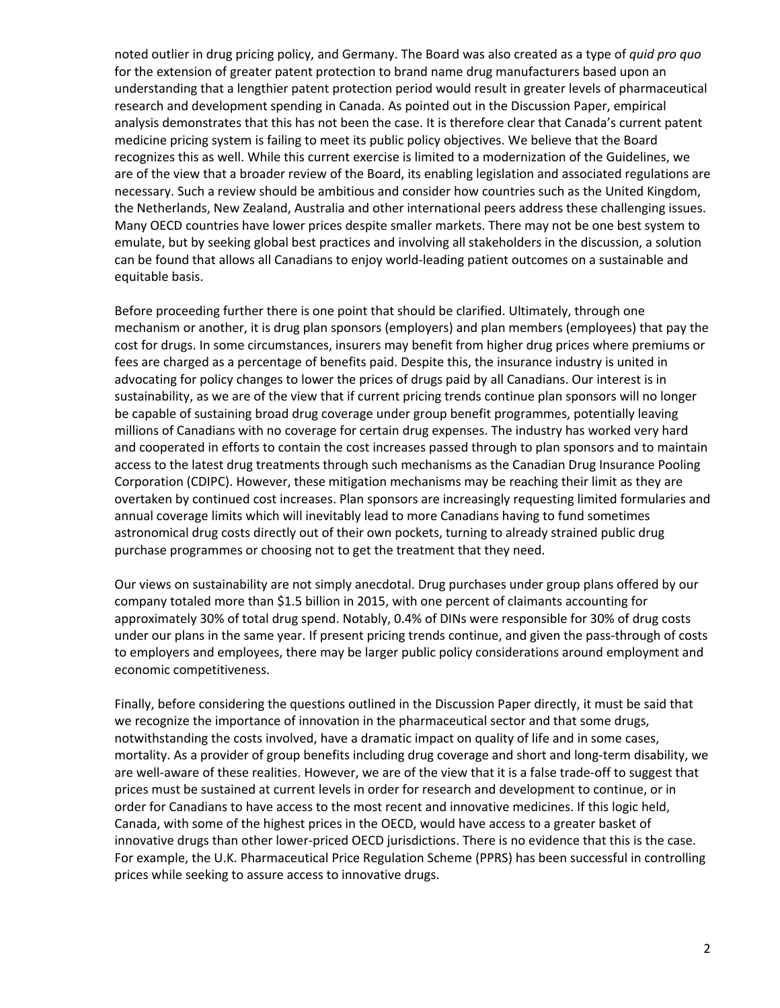noted outlier in drug pricing policy, and Germany. The Board was also created as a type of *quid pro quo* for the extension of greater patent protection to brand name drug manufacturers based upon an understanding that a lengthier patent protection period would result in greater levels of pharmaceutical research and development spending in Canada. As pointed out in the Discussion Paper, empirical analysis demonstrates that this has not been the case. It is therefore clear that Canada's current patent medicine pricing system is failing to meet its public policy objectives. We believe that the Board recognizes this as well. While this current exercise is limited to a modernization of the Guidelines, we are of the view that a broader review of the Board, its enabling legislation and associated regulations are necessary. Such a review should be ambitious and consider how countries such as the United Kingdom, the Netherlands, New Zealand, Australia and other international peers address these challenging issues. Many OECD countries have lower prices despite smaller markets. There may not be one best system to emulate, but by seeking global best practices and involving all stakeholders in the discussion, a solution can be found that allows all Canadians to enjoy world-leading patient outcomes on a sustainable and equitable basis.

Before proceeding further there is one point that should be clarified. Ultimately, through one mechanism or another, it is drug plan sponsors (employers) and plan members (employees) that pay the cost for drugs. In some circumstances, insurers may benefit from higher drug prices where premiums or fees are charged as a percentage of benefits paid. Despite this, the insurance industry is united in advocating for policy changes to lower the prices of drugs paid by all Canadians. Our interest is in sustainability, as we are of the view that if current pricing trends continue plan sponsors will no longer be capable of sustaining broad drug coverage under group benefit programmes, potentially leaving millions of Canadians with no coverage for certain drug expenses. The industry has worked very hard and cooperated in efforts to contain the cost increases passed through to plan sponsors and to maintain access to the latest drug treatments through such mechanisms as the Canadian Drug Insurance Pooling Corporation (CDIPC). However, these mitigation mechanisms may be reaching their limit as they are overtaken by continued cost increases. Plan sponsors are increasingly requesting limited formularies and annual coverage limits which will inevitably lead to more Canadians having to fund sometimes astronomical drug costs directly out of their own pockets, turning to already strained public drug purchase programmes or choosing not to get the treatment that they need.

Our views on sustainability are not simply anecdotal. Drug purchases under group plans offered by our company totaled more than \$1.5 billion in 2015, with one percent of claimants accounting for approximately 30% of total drug spend. Notably, 0.4% of DINs were responsible for 30% of drug costs under our plans in the same year. If present pricing trends continue, and given the pass-through of costs to employers and employees, there may be larger public policy considerations around employment and economic competitiveness.

Finally, before considering the questions outlined in the Discussion Paper directly, it must be said that we recognize the importance of innovation in the pharmaceutical sector and that some drugs, notwithstanding the costs involved, have a dramatic impact on quality of life and in some cases, mortality. As a provider of group benefits including drug coverage and short and long-term disability, we are well-aware of these realities. However, we are of the view that it is a false trade-off to suggest that prices must be sustained at current levels in order for research and development to continue, or in order for Canadians to have access to the most recent and innovative medicines. If this logic held, Canada, with some of the highest prices in the OECD, would have access to a greater basket of innovative drugs than other lower-priced OECD jurisdictions. There is no evidence that this is the case. For example, the U.K. Pharmaceutical Price Regulation Scheme (PPRS) has been successful in controlling prices while seeking to assure access to innovative drugs.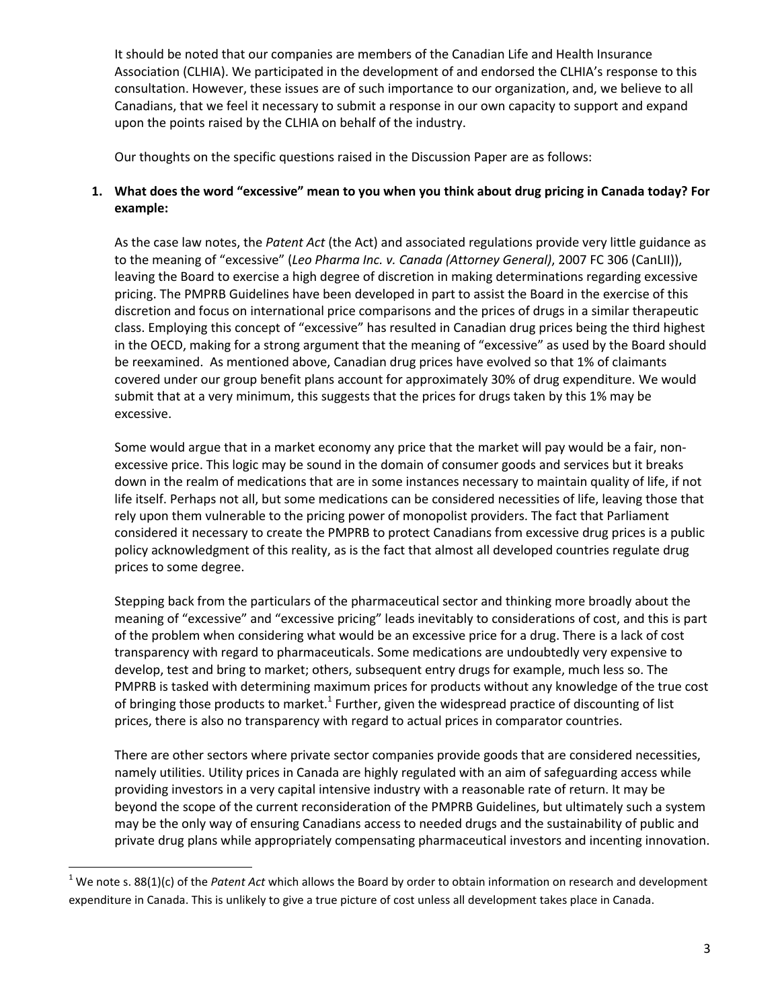It should be noted that our companies are members of the Canadian Life and Health Insurance Association (CLHIA). We participated in the development of and endorsed the CLHIA's response to this consultation. However, these issues are of such importance to our organization, and, we believe to all Canadians, that we feel it necessary to submit a response in our own capacity to support and expand upon the points raised by the CLHIA on behalf of the industry.

Our thoughts on the specific questions raised in the Discussion Paper are as follows:

# **1. What does the word "excessive" mean to you when you think about drug pricing in Canada today? For example:**

As the case law notes, the *Patent Act* (the Act) and associated regulations provide very little guidance as to the meaning of "excessive" (*Leo Pharma Inc. v. Canada (Attorney General)*, 2007 FC 306 (CanLII)), leaving the Board to exercise a high degree of discretion in making determinations regarding excessive pricing. The PMPRB Guidelines have been developed in part to assist the Board in the exercise of this discretion and focus on international price comparisons and the prices of drugs in a similar therapeutic class. Employing this concept of "excessive" has resulted in Canadian drug prices being the third highest in the OECD, making for a strong argument that the meaning of "excessive" as used by the Board should be reexamined. As mentioned above, Canadian drug prices have evolved so that 1% of claimants covered under our group benefit plans account for approximately 30% of drug expenditure. We would submit that at a very minimum, this suggests that the prices for drugs taken by this 1% may be excessive.

Some would argue that in a market economy any price that the market will pay would be a fair, nonexcessive price. This logic may be sound in the domain of consumer goods and services but it breaks down in the realm of medications that are in some instances necessary to maintain quality of life, if not life itself. Perhaps not all, but some medications can be considered necessities of life, leaving those that rely upon them vulnerable to the pricing power of monopolist providers. The fact that Parliament considered it necessary to create the PMPRB to protect Canadians from excessive drug prices is a public policy acknowledgment of this reality, as is the fact that almost all developed countries regulate drug prices to some degree.

Stepping back from the particulars of the pharmaceutical sector and thinking more broadly about the meaning of "excessive" and "excessive pricing" leads inevitably to considerations of cost, and this is part of the problem when considering what would be an excessive price for a drug. There is a lack of cost transparency with regard to pharmaceuticals. Some medications are undoubtedly very expensive to develop, test and bring to market; others, subsequent entry drugs for example, much less so. The PMPRB is tasked with determining maximum prices for products without any knowledge of the true cost of bringing those products to market.<sup>1</sup> Further, given the widespread practice of discounting of list prices, there is also no transparency with regard to actual prices in comparator countries.

There are other sectors where private sector companies provide goods that are considered necessities, namely utilities. Utility prices in Canada are highly regulated with an aim of safeguarding access while providing investors in a very capital intensive industry with a reasonable rate of return. It may be beyond the scope of the current reconsideration of the PMPRB Guidelines, but ultimately such a system may be the only way of ensuring Canadians access to needed drugs and the sustainability of public and private drug plans while appropriately compensating pharmaceutical investors and incenting innovation.

 $\overline{a}$ 

<sup>&</sup>lt;sup>1</sup> We note s. 88(1)(c) of the *Patent Act* which allows the Board by order to obtain information on research and development expenditure in Canada. This is unlikely to give a true picture of cost unless all development takes place in Canada.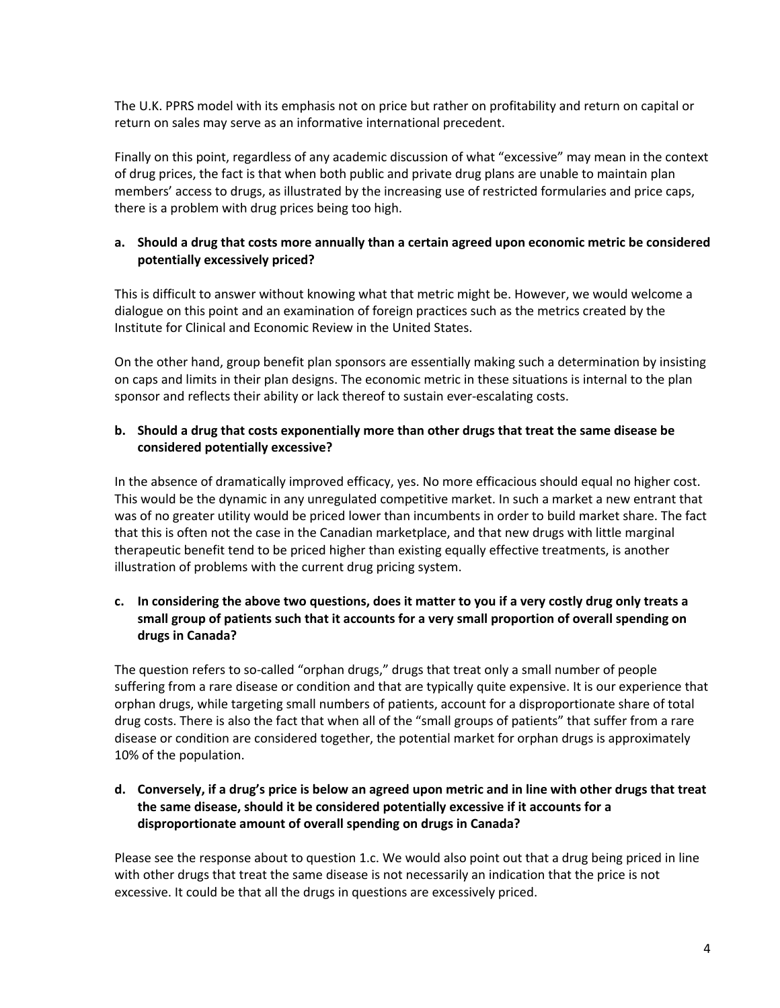The U.K. PPRS model with its emphasis not on price but rather on profitability and return on capital or return on sales may serve as an informative international precedent.

Finally on this point, regardless of any academic discussion of what "excessive" may mean in the context of drug prices, the fact is that when both public and private drug plans are unable to maintain plan members' access to drugs, as illustrated by the increasing use of restricted formularies and price caps, there is a problem with drug prices being too high.

# **a. Should a drug that costs more annually than a certain agreed upon economic metric be considered potentially excessively priced?**

This is difficult to answer without knowing what that metric might be. However, we would welcome a dialogue on this point and an examination of foreign practices such as the metrics created by the Institute for Clinical and Economic Review in the United States.

On the other hand, group benefit plan sponsors are essentially making such a determination by insisting on caps and limits in their plan designs. The economic metric in these situations is internal to the plan sponsor and reflects their ability or lack thereof to sustain ever-escalating costs.

# **b. Should a drug that costs exponentially more than other drugs that treat the same disease be considered potentially excessive?**

In the absence of dramatically improved efficacy, yes. No more efficacious should equal no higher cost. This would be the dynamic in any unregulated competitive market. In such a market a new entrant that was of no greater utility would be priced lower than incumbents in order to build market share. The fact that this is often not the case in the Canadian marketplace, and that new drugs with little marginal therapeutic benefit tend to be priced higher than existing equally effective treatments, is another illustration of problems with the current drug pricing system.

# **c. In considering the above two questions, does it matter to you if a very costly drug only treats a small group of patients such that it accounts for a very small proportion of overall spending on drugs in Canada?**

The question refers to so-called "orphan drugs," drugs that treat only a small number of people suffering from a rare disease or condition and that are typically quite expensive. It is our experience that orphan drugs, while targeting small numbers of patients, account for a disproportionate share of total drug costs. There is also the fact that when all of the "small groups of patients" that suffer from a rare disease or condition are considered together, the potential market for orphan drugs is approximately 10% of the population.

# **d. Conversely, if a drug's price is below an agreed upon metric and in line with other drugs that treat the same disease, should it be considered potentially excessive if it accounts for a disproportionate amount of overall spending on drugs in Canada?**

Please see the response about to question 1.c. We would also point out that a drug being priced in line with other drugs that treat the same disease is not necessarily an indication that the price is not excessive. It could be that all the drugs in questions are excessively priced.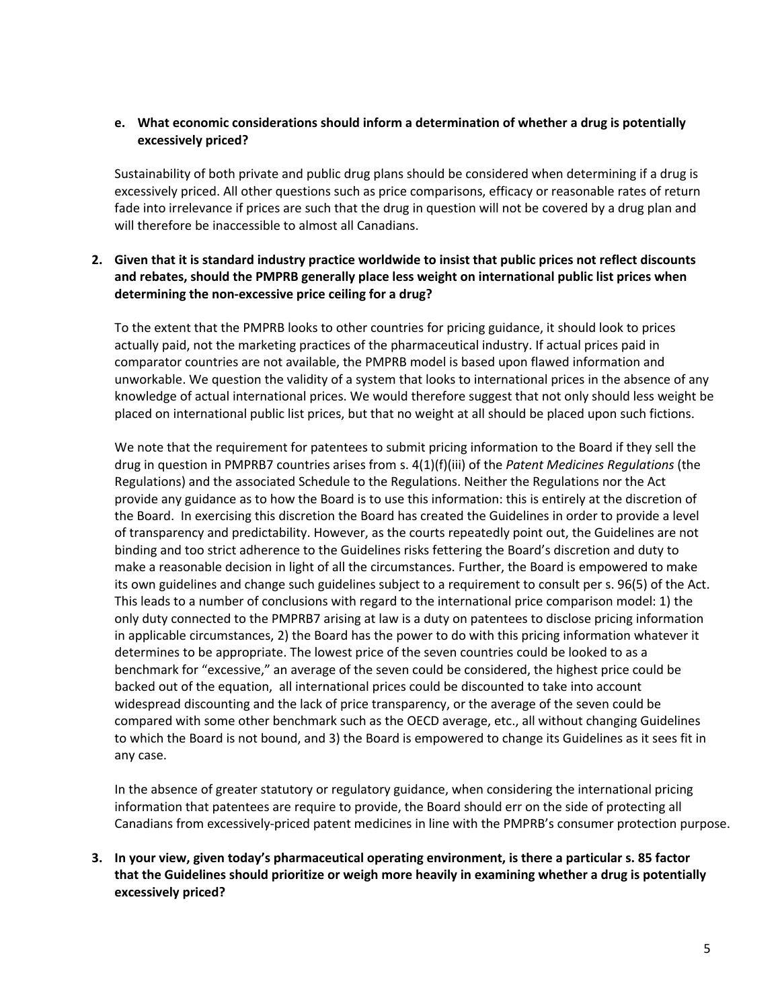## **e. What economic considerations should inform a determination of whether a drug is potentially excessively priced?**

Sustainability of both private and public drug plans should be considered when determining if a drug is excessively priced. All other questions such as price comparisons, efficacy or reasonable rates of return fade into irrelevance if prices are such that the drug in question will not be covered by a drug plan and will therefore be inaccessible to almost all Canadians.

# **2. Given that it is standard industry practice worldwide to insist that public prices not reflect discounts and rebates, should the PMPRB generally place less weight on international public list prices when determining the non-excessive price ceiling for a drug?**

To the extent that the PMPRB looks to other countries for pricing guidance, it should look to prices actually paid, not the marketing practices of the pharmaceutical industry. If actual prices paid in comparator countries are not available, the PMPRB model is based upon flawed information and unworkable. We question the validity of a system that looks to international prices in the absence of any knowledge of actual international prices. We would therefore suggest that not only should less weight be placed on international public list prices, but that no weight at all should be placed upon such fictions.

We note that the requirement for patentees to submit pricing information to the Board if they sell the drug in question in PMPRB7 countries arises from s. 4(1)(f)(iii) of the *Patent Medicines Regulations* (the Regulations) and the associated Schedule to the Regulations. Neither the Regulations nor the Act provide any guidance as to how the Board is to use this information: this is entirely at the discretion of the Board. In exercising this discretion the Board has created the Guidelines in order to provide a level of transparency and predictability. However, as the courts repeatedly point out, the Guidelines are not binding and too strict adherence to the Guidelines risks fettering the Board's discretion and duty to make a reasonable decision in light of all the circumstances. Further, the Board is empowered to make its own guidelines and change such guidelines subject to a requirement to consult per s. 96(5) of the Act. This leads to a number of conclusions with regard to the international price comparison model: 1) the only duty connected to the PMPRB7 arising at law is a duty on patentees to disclose pricing information in applicable circumstances, 2) the Board has the power to do with this pricing information whatever it determines to be appropriate. The lowest price of the seven countries could be looked to as a benchmark for "excessive," an average of the seven could be considered, the highest price could be backed out of the equation, all international prices could be discounted to take into account widespread discounting and the lack of price transparency, or the average of the seven could be compared with some other benchmark such as the OECD average, etc., all without changing Guidelines to which the Board is not bound, and 3) the Board is empowered to change its Guidelines as it sees fit in any case.

In the absence of greater statutory or regulatory guidance, when considering the international pricing information that patentees are require to provide, the Board should err on the side of protecting all Canadians from excessively-priced patent medicines in line with the PMPRB's consumer protection purpose.

**3. In your view, given today's pharmaceutical operating environment, is there a particular s. 85 factor that the Guidelines should prioritize or weigh more heavily in examining whether a drug is potentially excessively priced?**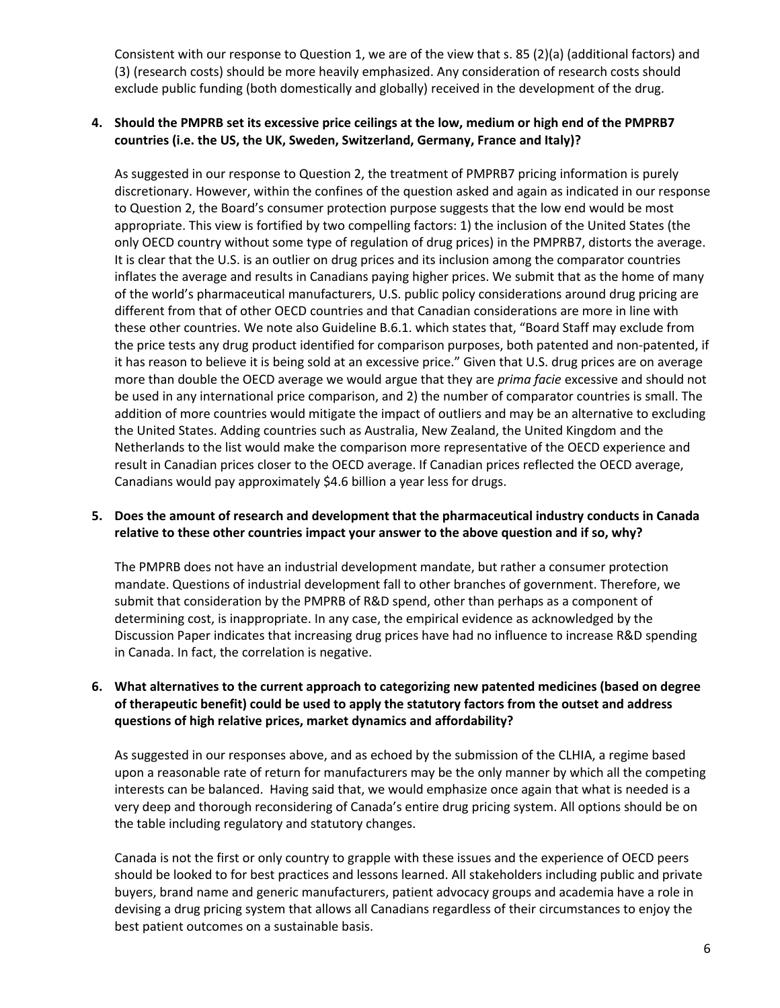Consistent with our response to Question 1, we are of the view that s. 85 (2)(a) (additional factors) and (3) (research costs) should be more heavily emphasized. Any consideration of research costs should exclude public funding (both domestically and globally) received in the development of the drug.

## **4. Should the PMPRB set its excessive price ceilings at the low, medium or high end of the PMPRB7 countries (i.e. the US, the UK, Sweden, Switzerland, Germany, France and Italy)?**

As suggested in our response to Question 2, the treatment of PMPRB7 pricing information is purely discretionary. However, within the confines of the question asked and again as indicated in our response to Question 2, the Board's consumer protection purpose suggests that the low end would be most appropriate. This view is fortified by two compelling factors: 1) the inclusion of the United States (the only OECD country without some type of regulation of drug prices) in the PMPRB7, distorts the average. It is clear that the U.S. is an outlier on drug prices and its inclusion among the comparator countries inflates the average and results in Canadians paying higher prices. We submit that as the home of many of the world's pharmaceutical manufacturers, U.S. public policy considerations around drug pricing are different from that of other OECD countries and that Canadian considerations are more in line with these other countries. We note also Guideline B.6.1. which states that, "Board Staff may exclude from the price tests any drug product identified for comparison purposes, both patented and non-patented, if it has reason to believe it is being sold at an excessive price." Given that U.S. drug prices are on average more than double the OECD average we would argue that they are *prima facie* excessive and should not be used in any international price comparison, and 2) the number of comparator countries is small. The addition of more countries would mitigate the impact of outliers and may be an alternative to excluding the United States. Adding countries such as Australia, New Zealand, the United Kingdom and the Netherlands to the list would make the comparison more representative of the OECD experience and result in Canadian prices closer to the OECD average. If Canadian prices reflected the OECD average, Canadians would pay approximately \$4.6 billion a year less for drugs.

## **5. Does the amount of research and development that the pharmaceutical industry conducts in Canada relative to these other countries impact your answer to the above question and if so, why?**

The PMPRB does not have an industrial development mandate, but rather a consumer protection mandate. Questions of industrial development fall to other branches of government. Therefore, we submit that consideration by the PMPRB of R&D spend, other than perhaps as a component of determining cost, is inappropriate. In any case, the empirical evidence as acknowledged by the Discussion Paper indicates that increasing drug prices have had no influence to increase R&D spending in Canada. In fact, the correlation is negative.

## **6. What alternatives to the current approach to categorizing new patented medicines (based on degree of therapeutic benefit) could be used to apply the statutory factors from the outset and address questions of high relative prices, market dynamics and affordability?**

As suggested in our responses above, and as echoed by the submission of the CLHIA, a regime based upon a reasonable rate of return for manufacturers may be the only manner by which all the competing interests can be balanced. Having said that, we would emphasize once again that what is needed is a very deep and thorough reconsidering of Canada's entire drug pricing system. All options should be on the table including regulatory and statutory changes.

Canada is not the first or only country to grapple with these issues and the experience of OECD peers should be looked to for best practices and lessons learned. All stakeholders including public and private buyers, brand name and generic manufacturers, patient advocacy groups and academia have a role in devising a drug pricing system that allows all Canadians regardless of their circumstances to enjoy the best patient outcomes on a sustainable basis.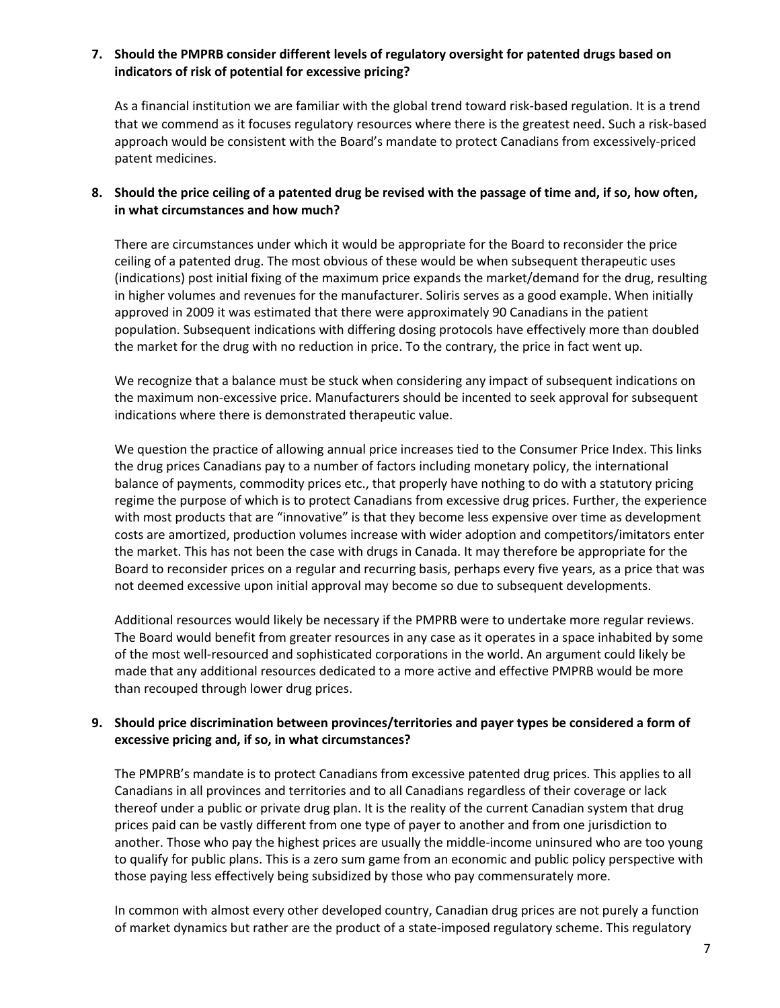## **7. Should the PMPRB consider different levels of regulatory oversight for patented drugs based on indicators of risk of potential for excessive pricing?**

As a financial institution we are familiar with the global trend toward risk-based regulation. It is a trend that we commend as it focuses regulatory resources where there is the greatest need. Such a risk-based approach would be consistent with the Board's mandate to protect Canadians from excessively-priced patent medicines.

## **8. Should the price ceiling of a patented drug be revised with the passage of time and, if so, how often, in what circumstances and how much?**

There are circumstances under which it would be appropriate for the Board to reconsider the price ceiling of a patented drug. The most obvious of these would be when subsequent therapeutic uses (indications) post initial fixing of the maximum price expands the market/demand for the drug, resulting in higher volumes and revenues for the manufacturer. Soliris serves as a good example. When initially approved in 2009 it was estimated that there were approximately 90 Canadians in the patient population. Subsequent indications with differing dosing protocols have effectively more than doubled the market for the drug with no reduction in price. To the contrary, the price in fact went up.

We recognize that a balance must be stuck when considering any impact of subsequent indications on the maximum non-excessive price. Manufacturers should be incented to seek approval for subsequent indications where there is demonstrated therapeutic value.

We question the practice of allowing annual price increases tied to the Consumer Price Index. This links the drug prices Canadians pay to a number of factors including monetary policy, the international balance of payments, commodity prices etc., that properly have nothing to do with a statutory pricing regime the purpose of which is to protect Canadians from excessive drug prices. Further, the experience with most products that are "innovative" is that they become less expensive over time as development costs are amortized, production volumes increase with wider adoption and competitors/imitators enter the market. This has not been the case with drugs in Canada. It may therefore be appropriate for the Board to reconsider prices on a regular and recurring basis, perhaps every five years, as a price that was not deemed excessive upon initial approval may become so due to subsequent developments.

Additional resources would likely be necessary if the PMPRB were to undertake more regular reviews. The Board would benefit from greater resources in any case as it operates in a space inhabited by some of the most well-resourced and sophisticated corporations in the world. An argument could likely be made that any additional resources dedicated to a more active and effective PMPRB would be more than recouped through lower drug prices.

## **9. Should price discrimination between provinces/territories and payer types be considered a form of excessive pricing and, if so, in what circumstances?**

The PMPRB's mandate is to protect Canadians from excessive patented drug prices. This applies to all Canadians in all provinces and territories and to all Canadians regardless of their coverage or lack thereof under a public or private drug plan. It is the reality of the current Canadian system that drug prices paid can be vastly different from one type of payer to another and from one jurisdiction to another. Those who pay the highest prices are usually the middle-income uninsured who are too young to qualify for public plans. This is a zero sum game from an economic and public policy perspective with those paying less effectively being subsidized by those who pay commensurately more.

In common with almost every other developed country, Canadian drug prices are not purely a function of market dynamics but rather are the product of a state-imposed regulatory scheme. This regulatory